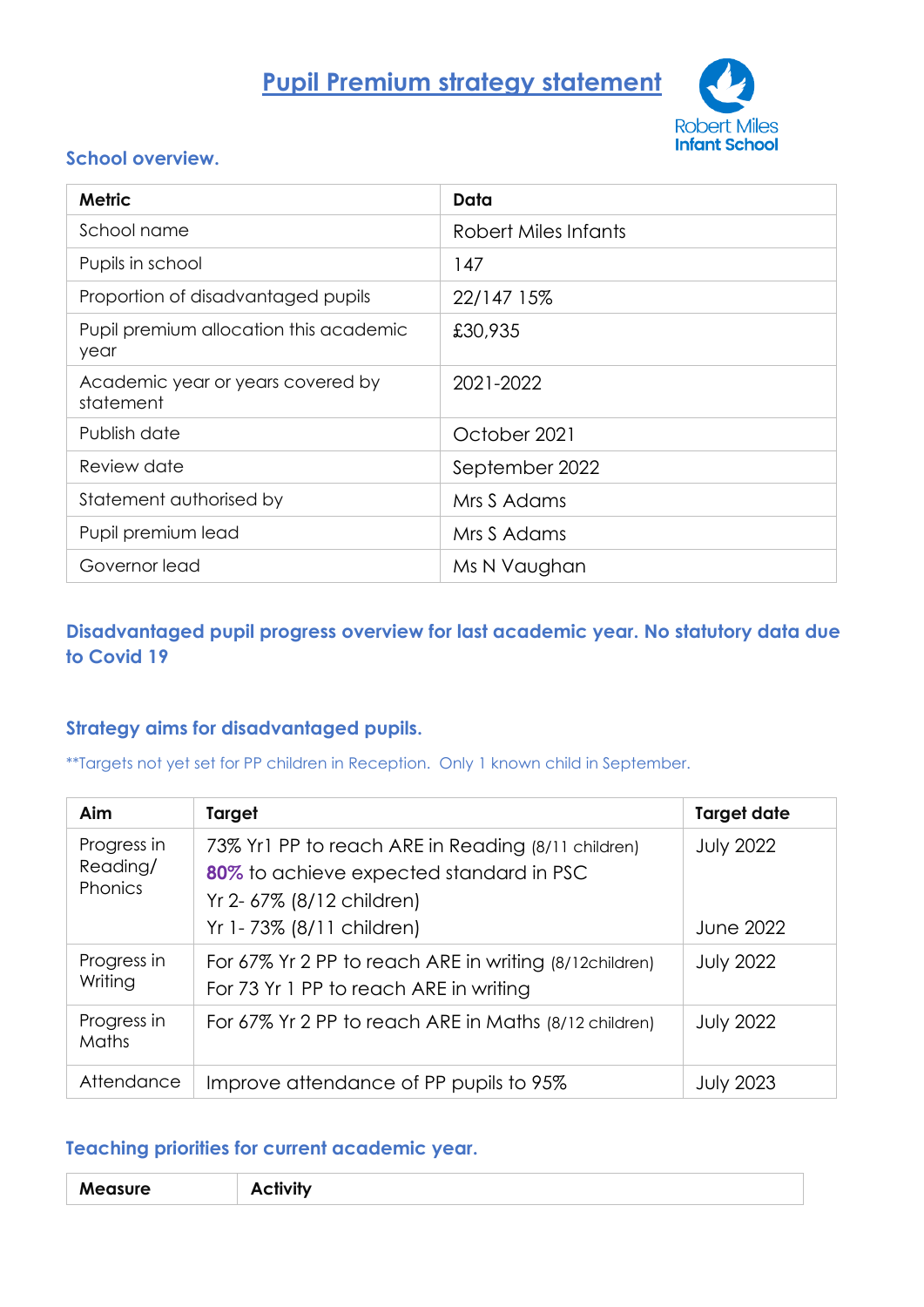# **Pupil Premium strategy statement**



#### **School overview.**

| <b>Metric</b>                                  | Data                 |
|------------------------------------------------|----------------------|
| School name                                    | Robert Miles Infants |
| Pupils in school                               | 147                  |
| Proportion of disadvantaged pupils             | 22/147 15%           |
| Pupil premium allocation this academic<br>year | £30,935              |
| Academic year or years covered by<br>statement | 2021-2022            |
| Publish date                                   | October 2021         |
| Review date                                    | September 2022       |
| Statement authorised by                        | Mrs S Adams          |
| Pupil premium lead                             | Mrs S Adams          |
| Governor lead                                  | Ms N Vaughan         |

#### **Disadvantaged pupil progress overview for last academic year. No statutory data due to Covid 19**

#### **Strategy aims for disadvantaged pupils.**

\*\*Targets not yet set for PP children in Reception. Only 1 known child in September.

| Aim                                | Target                                                                                                                    | <b>Target date</b> |
|------------------------------------|---------------------------------------------------------------------------------------------------------------------------|--------------------|
| Progress in<br>Reading/<br>Phonics | 73% Yr1 PP to reach ARE in Reading (8/11 children)<br>80% to achieve expected standard in PSC<br>Yr 2-67% (8/12 children) | <b>July 2022</b>   |
|                                    | Yr 1-73% (8/11 children)                                                                                                  | June 2022          |
| Progress in<br>Writing             | For 67% Yr 2 PP to reach ARE in writing (8/12 children)<br>For 73 Yr 1 PP to reach ARE in writing                         | <b>July 2022</b>   |
| Progress in<br>Maths               | For 67% Yr 2 PP to reach ARE in Maths (8/12 children)                                                                     | <b>July 2022</b>   |
| Attendance                         | Improve attendance of PP pupils to 95%                                                                                    | <b>July 2023</b>   |

#### **Teaching priorities for current academic year.**

| <b>Measure</b> | .<br>JIIVIt∨ |
|----------------|--------------|
|----------------|--------------|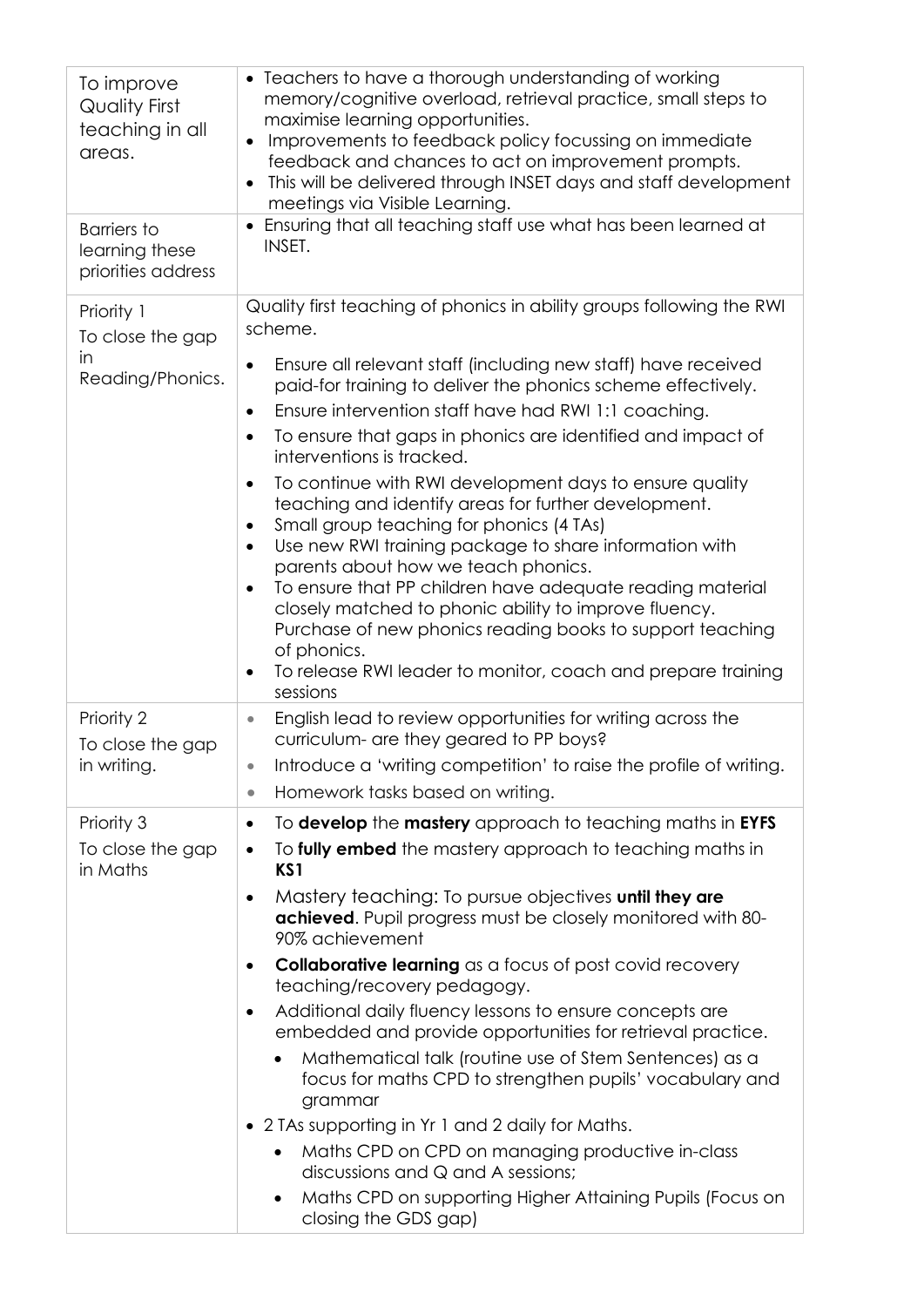| To improve<br><b>Quality First</b><br>teaching in all<br>areas. | Teachers to have a thorough understanding of working<br>memory/cognitive overload, retrieval practice, small steps to<br>maximise learning opportunities.<br>Improvements to feedback policy focussing on immediate<br>٠<br>feedback and chances to act on improvement prompts.<br>This will be delivered through INSET days and staff development<br>meetings via Visible Learning.                                                                                                                                                                                                                                                                                                                                                                                                                                                                                                                                                                                               |  |
|-----------------------------------------------------------------|------------------------------------------------------------------------------------------------------------------------------------------------------------------------------------------------------------------------------------------------------------------------------------------------------------------------------------------------------------------------------------------------------------------------------------------------------------------------------------------------------------------------------------------------------------------------------------------------------------------------------------------------------------------------------------------------------------------------------------------------------------------------------------------------------------------------------------------------------------------------------------------------------------------------------------------------------------------------------------|--|
| <b>Barriers</b> to<br>learning these<br>priorities address      | Ensuring that all teaching staff use what has been learned at<br>INSET.                                                                                                                                                                                                                                                                                                                                                                                                                                                                                                                                                                                                                                                                                                                                                                                                                                                                                                            |  |
| Priority 1<br>To close the gap<br>in<br>Reading/Phonics.        | Quality first teaching of phonics in ability groups following the RWI<br>scheme.<br>Ensure all relevant staff (including new staff) have received<br>$\bullet$<br>paid-for training to deliver the phonics scheme effectively.<br>Ensure intervention staff have had RWI 1:1 coaching.<br>$\bullet$<br>To ensure that gaps in phonics are identified and impact of<br>٠<br>interventions is tracked.<br>To continue with RWI development days to ensure quality<br>$\bullet$<br>teaching and identify areas for further development.<br>Small group teaching for phonics (4 TAs)<br>Use new RWI training package to share information with<br>$\bullet$<br>parents about how we teach phonics.<br>To ensure that PP children have adequate reading material<br>$\bullet$<br>closely matched to phonic ability to improve fluency.<br>Purchase of new phonics reading books to support teaching<br>of phonics.<br>To release RWI leader to monitor, coach and prepare training<br>٠ |  |
| Priority 2<br>To close the gap<br>in writing.                   | sessions<br>English lead to review opportunities for writing across the<br>$\bullet$<br>curriculum- are they geared to PP boys?<br>Introduce a 'writing competition' to raise the profile of writing.<br>Homework tasks based on writing.<br>$\bullet$                                                                                                                                                                                                                                                                                                                                                                                                                                                                                                                                                                                                                                                                                                                             |  |
| Priority 3<br>To close the gap<br>in Maths                      | To develop the mastery approach to teaching maths in EYFS<br>$\bullet$<br>To fully embed the mastery approach to teaching maths in<br>$\bullet$<br>KS1<br>Mastery teaching: To pursue objectives until they are<br>$\bullet$<br>achieved. Pupil progress must be closely monitored with 80-<br>90% achievement<br><b>Collaborative learning</b> as a focus of post covid recovery<br>٠<br>teaching/recovery pedagogy.<br>Additional daily fluency lessons to ensure concepts are<br>$\bullet$<br>embedded and provide opportunities for retrieval practice.<br>Mathematical talk (routine use of Stem Sentences) as a<br>focus for maths CPD to strengthen pupils' vocabulary and<br>grammar<br>• 2 TAs supporting in Yr 1 and 2 daily for Maths.<br>Maths CPD on CPD on managing productive in-class<br>$\bullet$<br>discussions and Q and A sessions;<br>Maths CPD on supporting Higher Attaining Pupils (Focus on<br>$\bullet$<br>closing the GDS gap)                          |  |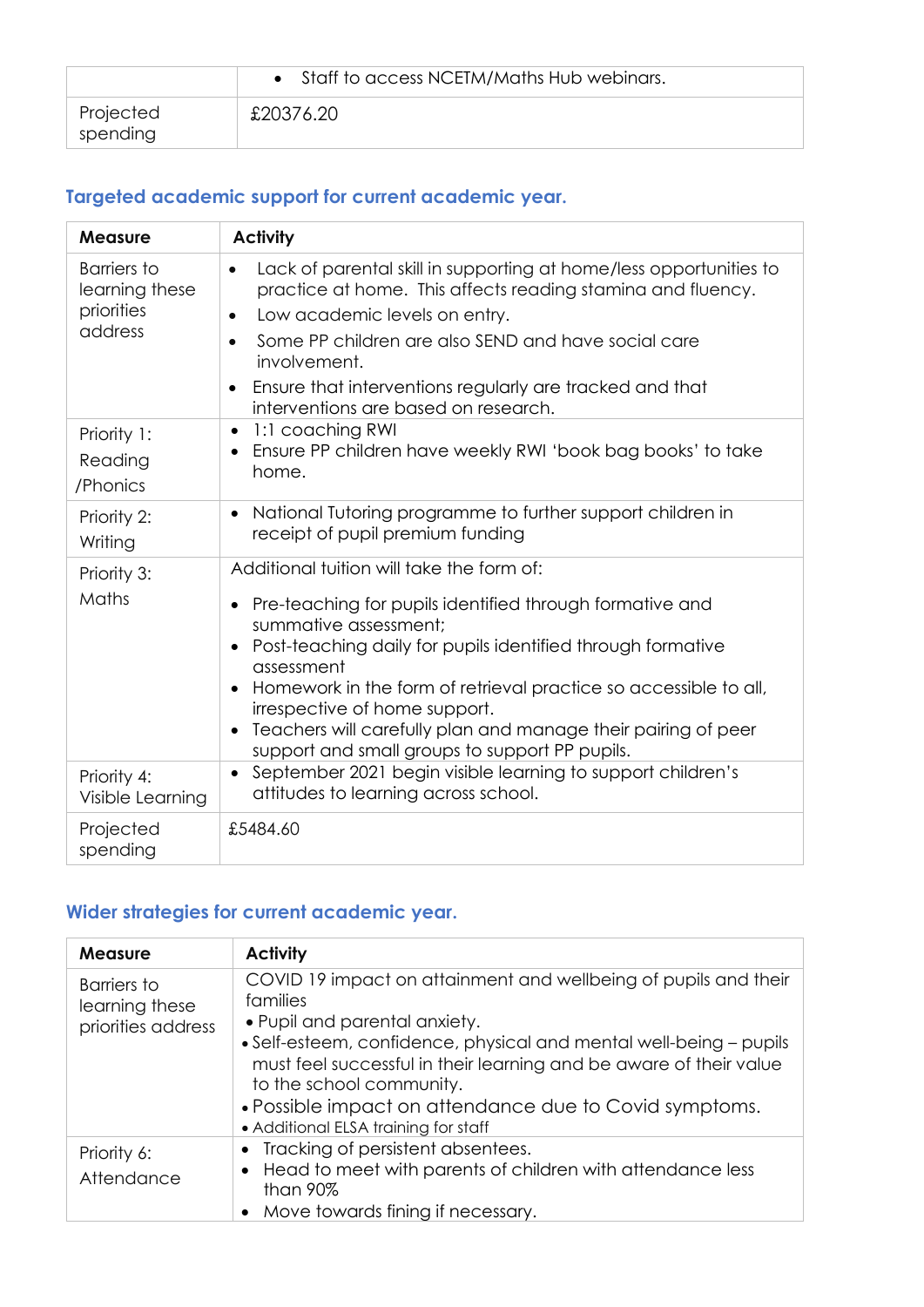|                       | • Staff to access NCETM/Maths Hub webinars. |
|-----------------------|---------------------------------------------|
| Projected<br>spending | £20376.20                                   |

### **Targeted academic support for current academic year.**

| <b>Measure</b>                                                | <b>Activity</b>                                                                                                                                                                                                                                                                                                                                                                                                                                  |
|---------------------------------------------------------------|--------------------------------------------------------------------------------------------------------------------------------------------------------------------------------------------------------------------------------------------------------------------------------------------------------------------------------------------------------------------------------------------------------------------------------------------------|
| <b>Barriers</b> to<br>learning these<br>priorities<br>address | Lack of parental skill in supporting at home/less opportunities to<br>$\bullet$<br>practice at home. This affects reading stamina and fluency.<br>Low academic levels on entry.<br>$\bullet$<br>Some PP children are also SEND and have social care<br>$\bullet$<br>involvement.<br>Ensure that interventions regularly are tracked and that<br>$\bullet$<br>interventions are based on research.                                                |
| Priority 1:<br>Reading<br>/Phonics                            | 1:1 coaching RWI<br>$\bullet$<br>Ensure PP children have weekly RWI 'book bag books' to take<br>home.                                                                                                                                                                                                                                                                                                                                            |
| Priority 2:<br>Writing                                        | National Tutoring programme to further support children in<br>receipt of pupil premium funding                                                                                                                                                                                                                                                                                                                                                   |
| Priority 3:<br>Maths                                          | Additional tuition will take the form of:<br>Pre-teaching for pupils identified through formative and<br>$\bullet$<br>summative assessment;<br>Post-teaching daily for pupils identified through formative<br>assessment<br>Homework in the form of retrieval practice so accessible to all,<br>irrespective of home support.<br>Teachers will carefully plan and manage their pairing of peer<br>support and small groups to support PP pupils. |
| Priority 4:<br>Visible Learning                               | September 2021 begin visible learning to support children's<br>attitudes to learning across school.                                                                                                                                                                                                                                                                                                                                              |
| Projected<br>spending                                         | £5484.60                                                                                                                                                                                                                                                                                                                                                                                                                                         |

## **Wider strategies for current academic year.**

| <b>Measure</b>                                      | <b>Activity</b>                                                                                                                                                                                                                                                                                                                                                                        |
|-----------------------------------------------------|----------------------------------------------------------------------------------------------------------------------------------------------------------------------------------------------------------------------------------------------------------------------------------------------------------------------------------------------------------------------------------------|
| Barriers to<br>learning these<br>priorities address | COVID 19 impact on attainment and wellbeing of pupils and their<br>families<br>• Pupil and parental anxiety.<br>• Self-esteem, confidence, physical and mental well-being – pupils<br>must feel successful in their learning and be aware of their value<br>to the school community.<br>• Possible impact on attendance due to Covid symptoms.<br>• Additional ELSA training for staff |
| Priority 6:<br>Attendance                           | Tracking of persistent absentees.<br>• Head to meet with parents of children with attendance less<br>than 90%<br>• Move towards fining if necessary.                                                                                                                                                                                                                                   |